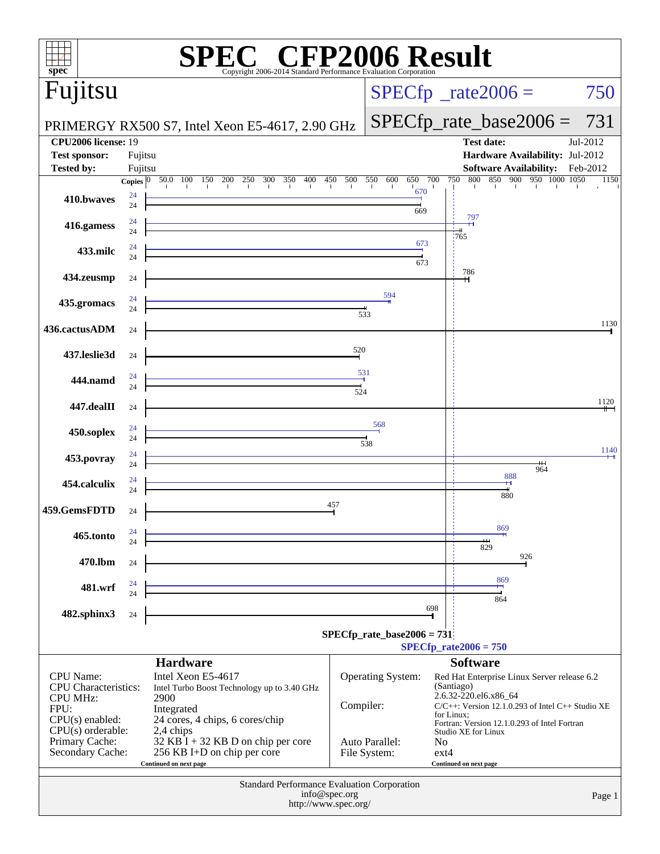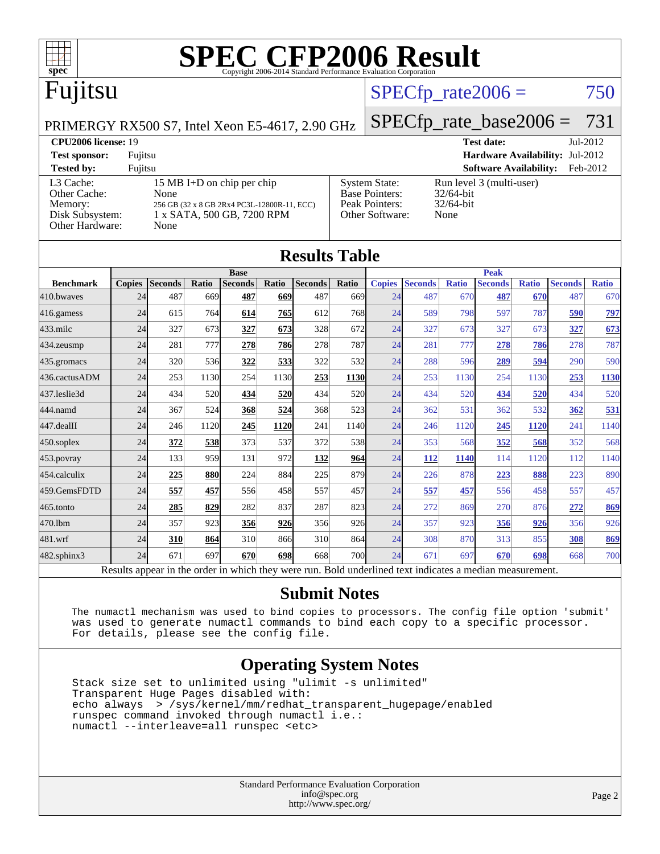

### Fujitsu

### $SPECTp\_rate2006 = 750$

[Base Pointers:](http://www.spec.org/auto/cpu2006/Docs/result-fields.html#BasePointers) 32/64-bit<br>Peak Pointers: 32/64-bit

[Other Software:](http://www.spec.org/auto/cpu2006/Docs/result-fields.html#OtherSoftware) None

[Peak Pointers:](http://www.spec.org/auto/cpu2006/Docs/result-fields.html#PeakPointers)

PRIMERGY RX500 S7, Intel Xeon E5-4617, 2.90 GHz

[SPECfp\\_rate\\_base2006 =](http://www.spec.org/auto/cpu2006/Docs/result-fields.html#SPECfpratebase2006) 731

**[CPU2006 license:](http://www.spec.org/auto/cpu2006/Docs/result-fields.html#CPU2006license)** 19 **[Test date:](http://www.spec.org/auto/cpu2006/Docs/result-fields.html#Testdate)** Jul-2012 **[Test sponsor:](http://www.spec.org/auto/cpu2006/Docs/result-fields.html#Testsponsor)** Fujitsu **[Hardware Availability:](http://www.spec.org/auto/cpu2006/Docs/result-fields.html#HardwareAvailability)** Jul-2012 **[Tested by:](http://www.spec.org/auto/cpu2006/Docs/result-fields.html#Testedby)** Fujitsu **[Software Availability:](http://www.spec.org/auto/cpu2006/Docs/result-fields.html#SoftwareAvailability)** Feb-2012 [System State:](http://www.spec.org/auto/cpu2006/Docs/result-fields.html#SystemState) Run level 3 (multi-user)<br>Base Pointers:  $32/64$ -bit

### [L3 Cache:](http://www.spec.org/auto/cpu2006/Docs/result-fields.html#L3Cache) 15 MB I+D on chip per chip<br>Other Cache: None [Other Cache:](http://www.spec.org/auto/cpu2006/Docs/result-fields.html#OtherCache) [Memory:](http://www.spec.org/auto/cpu2006/Docs/result-fields.html#Memory) 256 GB (32 x 8 GB 2Rx4 PC3L-12800R-11, ECC) [Disk Subsystem:](http://www.spec.org/auto/cpu2006/Docs/result-fields.html#DiskSubsystem) 1 x SATA, 500 GB, 7200 RPM [Other Hardware:](http://www.spec.org/auto/cpu2006/Docs/result-fields.html#OtherHardware) None

|                  |               |                |       |                |       | <b>Results Table</b> |       |               |                |              |                |              |                |              |  |
|------------------|---------------|----------------|-------|----------------|-------|----------------------|-------|---------------|----------------|--------------|----------------|--------------|----------------|--------------|--|
|                  | <b>Base</b>   |                |       |                |       |                      |       |               | <b>Peak</b>    |              |                |              |                |              |  |
| <b>Benchmark</b> | <b>Copies</b> | <b>Seconds</b> | Ratio | <b>Seconds</b> | Ratio | <b>Seconds</b>       | Ratio | <b>Copies</b> | <b>Seconds</b> | <b>Ratio</b> | <b>Seconds</b> | <b>Ratio</b> | <b>Seconds</b> | <b>Ratio</b> |  |
| 410.bwayes       | 24            | 487            | 669   | 487            | 669   | 487                  | 669   | 24            | 487            | 670          | 487            | 670          | 487            | 670          |  |
| 416.gamess       | 24            | 615            | 764   | 614            | 765   | 612                  | 768   | 24            | 589            | 798          | 597            | 787          | 590            | 797          |  |
| 433.milc         | 24            | 327            | 673   | 327            | 673   | 328                  | 672   | 24            | 327            | 673          | 327            | 673          | 327            | 673          |  |
| 434.zeusmp       | 24            | 281            | 777   | 278            | 786   | 278                  | 787   | 24            | 281            | 777          | 278            | 786          | 278            | 787          |  |
| 435.gromacs      | 24            | 320            | 536   | 322            | 533   | 322                  | 532   | 24            | 288            | 596          | 289            | 594          | 290            | 590          |  |
| 436.cactusADM    | 24            | 253            | 1130  | 254            | 1130  | 253                  | 1130  | 24            | 253            | 1130         | 254            | 1130         | 253            | <b>1130</b>  |  |
| 437.leslie3d     | 24            | 434            | 520   | 434            | 520   | 434                  | 520   | 24            | 434            | 520          | 434            | 520          | 434            | 520          |  |
| 444.namd         | 24            | 367            | 524   | 368            | 524   | 368                  | 523   | 24            | 362            | 531          | 362            | 532          | 362            | 531          |  |
| 447.dealII       | 24            | 246            | 1120  | 245            | 1120  | 241                  | 1140  | 24            | 246            | 1120         | 245            | 1120         | 241            | 1140         |  |
| 450.soplex       | 24            | 372            | 538   | 373            | 537   | 372                  | 538   | 24            | 353            | 568          | 352            | 568          | 352            | 568          |  |
| 453.povray       | 24            | 133            | 959   | 131            | 972   | 132                  | 964   | 24            | 112            | 1140         | 114            | 1120         | 112            | 1140         |  |
| 454.calculix     | 24            | 225            | 880   | 224            | 884   | 225                  | 879   | 24            | 226            | 878          | 223            | 888          | 223            | 890          |  |
| 459.GemsFDTD     | 24            | 557            | 457   | 556            | 458   | 557                  | 457   | 24            | 557            | 457          | 556            | 458          | 557            | 457          |  |
| 465.tonto        | 24            | 285            | 829   | 282            | 837   | 287                  | 823   | 24            | 272            | 869          | 270            | 876          | 272            | 869          |  |
| 470.1bm          | 24            | 357            | 923   | 356            | 926   | 356                  | 926   | 24            | 357            | 923          | 356            | 926          | 356            | 926          |  |
| 481.wrf          | 24            | 310            | 864   | 310            | 866   | 310                  | 864   | 24            | 308            | 870          | 313            | 855          | 308            | 869          |  |
| 482.sphinx3      | 24            | 671            | 697   | 670            | 698   | 668                  | 700   | 24            | 671            | 697          | 670            | 698          | 668            | 700          |  |

Results appear in the [order in which they were run.](http://www.spec.org/auto/cpu2006/Docs/result-fields.html#RunOrder) Bold underlined text [indicates a median measurement.](http://www.spec.org/auto/cpu2006/Docs/result-fields.html#Median)

### **[Submit Notes](http://www.spec.org/auto/cpu2006/Docs/result-fields.html#SubmitNotes)**

 The numactl mechanism was used to bind copies to processors. The config file option 'submit' was used to generate numactl commands to bind each copy to a specific processor. For details, please see the config file.

### **[Operating System Notes](http://www.spec.org/auto/cpu2006/Docs/result-fields.html#OperatingSystemNotes)**

 Stack size set to unlimited using "ulimit -s unlimited" Transparent Huge Pages disabled with: echo always > /sys/kernel/mm/redhat\_transparent\_hugepage/enabled runspec command invoked through numactl i.e.: numactl --interleave=all runspec <etc>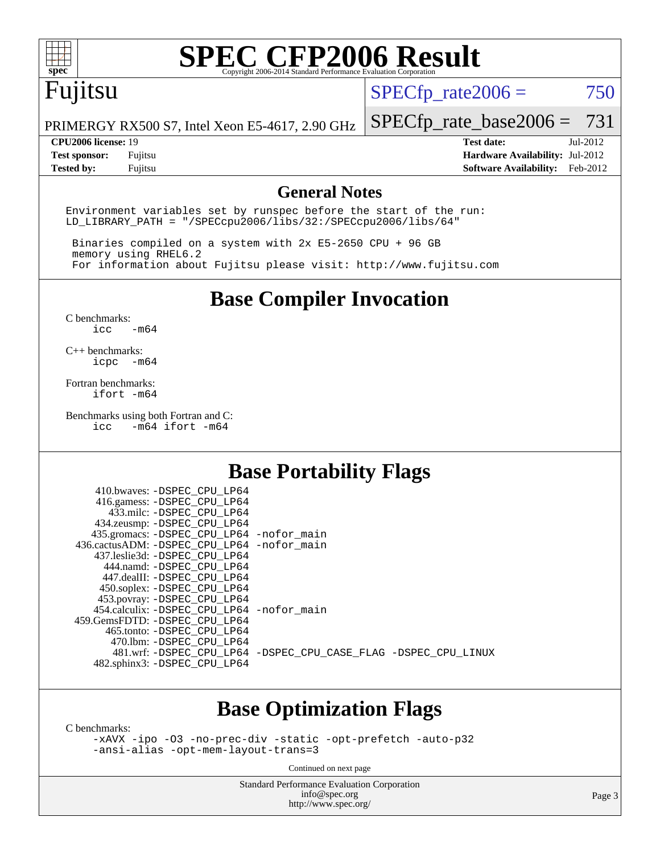

### Fujitsu

 $SPECTp\_rate2006 = 750$ 

PRIMERGY RX500 S7, Intel Xeon E5-4617, 2.90 GHz

### **[CPU2006 license:](http://www.spec.org/auto/cpu2006/Docs/result-fields.html#CPU2006license)** 19 **[Test date:](http://www.spec.org/auto/cpu2006/Docs/result-fields.html#Testdate)** Jul-2012

[SPECfp\\_rate\\_base2006 =](http://www.spec.org/auto/cpu2006/Docs/result-fields.html#SPECfpratebase2006) 731

**[Test sponsor:](http://www.spec.org/auto/cpu2006/Docs/result-fields.html#Testsponsor)** Fujitsu **[Hardware Availability:](http://www.spec.org/auto/cpu2006/Docs/result-fields.html#HardwareAvailability)** Jul-2012 **[Tested by:](http://www.spec.org/auto/cpu2006/Docs/result-fields.html#Testedby)** Fujitsu **[Software Availability:](http://www.spec.org/auto/cpu2006/Docs/result-fields.html#SoftwareAvailability)** Feb-2012

### **[General Notes](http://www.spec.org/auto/cpu2006/Docs/result-fields.html#GeneralNotes)**

Environment variables set by runspec before the start of the run: LD\_LIBRARY\_PATH = "/SPECcpu2006/libs/32:/SPECcpu2006/libs/64"

 Binaries compiled on a system with 2x E5-2650 CPU + 96 GB memory using RHEL6.2 For information about Fujitsu please visit: <http://www.fujitsu.com>

**[Base Compiler Invocation](http://www.spec.org/auto/cpu2006/Docs/result-fields.html#BaseCompilerInvocation)**

[C benchmarks](http://www.spec.org/auto/cpu2006/Docs/result-fields.html#Cbenchmarks):  $\text{icc}$   $-\text{m64}$ 

[C++ benchmarks:](http://www.spec.org/auto/cpu2006/Docs/result-fields.html#CXXbenchmarks) [icpc -m64](http://www.spec.org/cpu2006/results/res2012q3/cpu2006-20120730-23883.flags.html#user_CXXbase_intel_icpc_64bit_bedb90c1146cab66620883ef4f41a67e)

[Fortran benchmarks](http://www.spec.org/auto/cpu2006/Docs/result-fields.html#Fortranbenchmarks): [ifort -m64](http://www.spec.org/cpu2006/results/res2012q3/cpu2006-20120730-23883.flags.html#user_FCbase_intel_ifort_64bit_ee9d0fb25645d0210d97eb0527dcc06e)

[Benchmarks using both Fortran and C](http://www.spec.org/auto/cpu2006/Docs/result-fields.html#BenchmarksusingbothFortranandC):<br>icc -m64 ifort -m64  $-m64$  ifort  $-m64$ 

### **[Base Portability Flags](http://www.spec.org/auto/cpu2006/Docs/result-fields.html#BasePortabilityFlags)**

| 410.bwaves: -DSPEC CPU LP64                 |                                                                |
|---------------------------------------------|----------------------------------------------------------------|
| 416.gamess: -DSPEC_CPU_LP64                 |                                                                |
| 433.milc: -DSPEC CPU LP64                   |                                                                |
| 434.zeusmp: - DSPEC_CPU_LP64                |                                                                |
| 435.gromacs: -DSPEC_CPU_LP64 -nofor_main    |                                                                |
| 436.cactusADM: -DSPEC CPU LP64 -nofor main  |                                                                |
| 437.leslie3d: -DSPEC CPU LP64               |                                                                |
| 444.namd: -DSPEC CPU LP64                   |                                                                |
| 447.dealII: -DSPEC CPU LP64                 |                                                                |
| 450.soplex: -DSPEC_CPU_LP64                 |                                                                |
| 453.povray: -DSPEC_CPU_LP64                 |                                                                |
| 454.calculix: - DSPEC CPU LP64 - nofor main |                                                                |
| 459.GemsFDTD: -DSPEC CPU LP64               |                                                                |
| 465.tonto: -DSPEC CPU LP64                  |                                                                |
| 470.1bm: -DSPEC CPU LP64                    |                                                                |
|                                             | 481.wrf: -DSPEC CPU_LP64 -DSPEC_CPU_CASE_FLAG -DSPEC_CPU_LINUX |
| 482.sphinx3: -DSPEC CPU LP64                |                                                                |
|                                             |                                                                |

### **[Base Optimization Flags](http://www.spec.org/auto/cpu2006/Docs/result-fields.html#BaseOptimizationFlags)**

[C benchmarks](http://www.spec.org/auto/cpu2006/Docs/result-fields.html#Cbenchmarks):

[-xAVX](http://www.spec.org/cpu2006/results/res2012q3/cpu2006-20120730-23883.flags.html#user_CCbase_f-xAVX) [-ipo](http://www.spec.org/cpu2006/results/res2012q3/cpu2006-20120730-23883.flags.html#user_CCbase_f-ipo) [-O3](http://www.spec.org/cpu2006/results/res2012q3/cpu2006-20120730-23883.flags.html#user_CCbase_f-O3) [-no-prec-div](http://www.spec.org/cpu2006/results/res2012q3/cpu2006-20120730-23883.flags.html#user_CCbase_f-no-prec-div) [-static](http://www.spec.org/cpu2006/results/res2012q3/cpu2006-20120730-23883.flags.html#user_CCbase_f-static) [-opt-prefetch](http://www.spec.org/cpu2006/results/res2012q3/cpu2006-20120730-23883.flags.html#user_CCbase_f-opt-prefetch) [-auto-p32](http://www.spec.org/cpu2006/results/res2012q3/cpu2006-20120730-23883.flags.html#user_CCbase_f-auto-p32) [-ansi-alias](http://www.spec.org/cpu2006/results/res2012q3/cpu2006-20120730-23883.flags.html#user_CCbase_f-ansi-alias) [-opt-mem-layout-trans=3](http://www.spec.org/cpu2006/results/res2012q3/cpu2006-20120730-23883.flags.html#user_CCbase_f-opt-mem-layout-trans_a7b82ad4bd7abf52556d4961a2ae94d5)

Continued on next page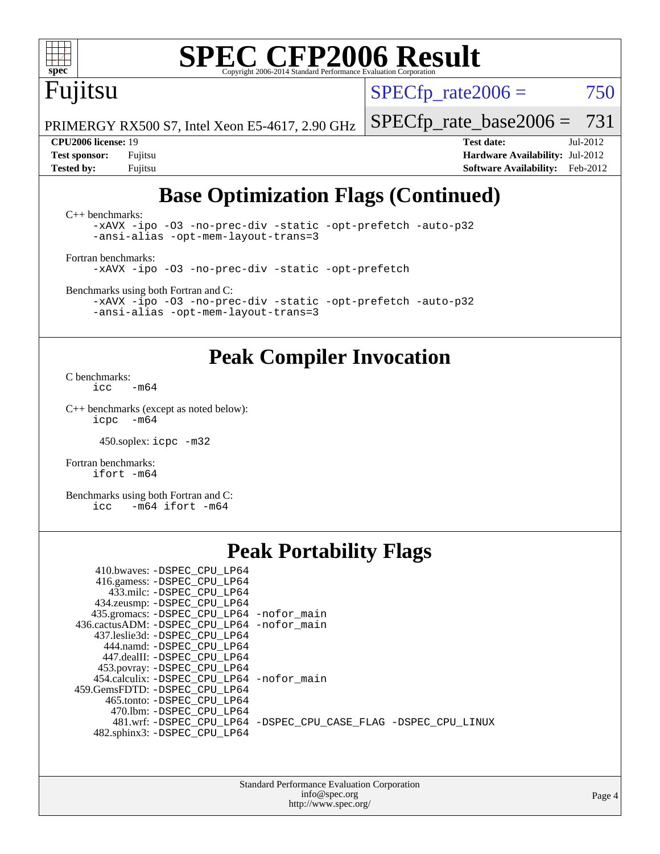### Fujitsu

 $SPECTp\_rate2006 = 750$ 

PRIMERGY RX500 S7, Intel Xeon E5-4617, 2.90 GHz

**[Test sponsor:](http://www.spec.org/auto/cpu2006/Docs/result-fields.html#Testsponsor)** Fujitsu **[Hardware Availability:](http://www.spec.org/auto/cpu2006/Docs/result-fields.html#HardwareAvailability)** Jul-2012 **[Tested by:](http://www.spec.org/auto/cpu2006/Docs/result-fields.html#Testedby)** Fujitsu **[Software Availability:](http://www.spec.org/auto/cpu2006/Docs/result-fields.html#SoftwareAvailability)** Feb-2012

[SPECfp\\_rate\\_base2006 =](http://www.spec.org/auto/cpu2006/Docs/result-fields.html#SPECfpratebase2006) 731 **[CPU2006 license:](http://www.spec.org/auto/cpu2006/Docs/result-fields.html#CPU2006license)** 19 **[Test date:](http://www.spec.org/auto/cpu2006/Docs/result-fields.html#Testdate)** Jul-2012

### **[Base Optimization Flags \(Continued\)](http://www.spec.org/auto/cpu2006/Docs/result-fields.html#BaseOptimizationFlags)**

[C++ benchmarks:](http://www.spec.org/auto/cpu2006/Docs/result-fields.html#CXXbenchmarks) [-xAVX](http://www.spec.org/cpu2006/results/res2012q3/cpu2006-20120730-23883.flags.html#user_CXXbase_f-xAVX) [-ipo](http://www.spec.org/cpu2006/results/res2012q3/cpu2006-20120730-23883.flags.html#user_CXXbase_f-ipo) [-O3](http://www.spec.org/cpu2006/results/res2012q3/cpu2006-20120730-23883.flags.html#user_CXXbase_f-O3) [-no-prec-div](http://www.spec.org/cpu2006/results/res2012q3/cpu2006-20120730-23883.flags.html#user_CXXbase_f-no-prec-div) [-static](http://www.spec.org/cpu2006/results/res2012q3/cpu2006-20120730-23883.flags.html#user_CXXbase_f-static) [-opt-prefetch](http://www.spec.org/cpu2006/results/res2012q3/cpu2006-20120730-23883.flags.html#user_CXXbase_f-opt-prefetch) [-auto-p32](http://www.spec.org/cpu2006/results/res2012q3/cpu2006-20120730-23883.flags.html#user_CXXbase_f-auto-p32) [-ansi-alias](http://www.spec.org/cpu2006/results/res2012q3/cpu2006-20120730-23883.flags.html#user_CXXbase_f-ansi-alias) [-opt-mem-layout-trans=3](http://www.spec.org/cpu2006/results/res2012q3/cpu2006-20120730-23883.flags.html#user_CXXbase_f-opt-mem-layout-trans_a7b82ad4bd7abf52556d4961a2ae94d5) [Fortran benchmarks](http://www.spec.org/auto/cpu2006/Docs/result-fields.html#Fortranbenchmarks):

[-xAVX](http://www.spec.org/cpu2006/results/res2012q3/cpu2006-20120730-23883.flags.html#user_FCbase_f-xAVX) [-ipo](http://www.spec.org/cpu2006/results/res2012q3/cpu2006-20120730-23883.flags.html#user_FCbase_f-ipo) [-O3](http://www.spec.org/cpu2006/results/res2012q3/cpu2006-20120730-23883.flags.html#user_FCbase_f-O3) [-no-prec-div](http://www.spec.org/cpu2006/results/res2012q3/cpu2006-20120730-23883.flags.html#user_FCbase_f-no-prec-div) [-static](http://www.spec.org/cpu2006/results/res2012q3/cpu2006-20120730-23883.flags.html#user_FCbase_f-static) [-opt-prefetch](http://www.spec.org/cpu2006/results/res2012q3/cpu2006-20120730-23883.flags.html#user_FCbase_f-opt-prefetch)

[Benchmarks using both Fortran and C](http://www.spec.org/auto/cpu2006/Docs/result-fields.html#BenchmarksusingbothFortranandC):

[-xAVX](http://www.spec.org/cpu2006/results/res2012q3/cpu2006-20120730-23883.flags.html#user_CC_FCbase_f-xAVX) [-ipo](http://www.spec.org/cpu2006/results/res2012q3/cpu2006-20120730-23883.flags.html#user_CC_FCbase_f-ipo) [-O3](http://www.spec.org/cpu2006/results/res2012q3/cpu2006-20120730-23883.flags.html#user_CC_FCbase_f-O3) [-no-prec-div](http://www.spec.org/cpu2006/results/res2012q3/cpu2006-20120730-23883.flags.html#user_CC_FCbase_f-no-prec-div) [-static](http://www.spec.org/cpu2006/results/res2012q3/cpu2006-20120730-23883.flags.html#user_CC_FCbase_f-static) [-opt-prefetch](http://www.spec.org/cpu2006/results/res2012q3/cpu2006-20120730-23883.flags.html#user_CC_FCbase_f-opt-prefetch) [-auto-p32](http://www.spec.org/cpu2006/results/res2012q3/cpu2006-20120730-23883.flags.html#user_CC_FCbase_f-auto-p32) [-ansi-alias](http://www.spec.org/cpu2006/results/res2012q3/cpu2006-20120730-23883.flags.html#user_CC_FCbase_f-ansi-alias) [-opt-mem-layout-trans=3](http://www.spec.org/cpu2006/results/res2012q3/cpu2006-20120730-23883.flags.html#user_CC_FCbase_f-opt-mem-layout-trans_a7b82ad4bd7abf52556d4961a2ae94d5)

### **[Peak Compiler Invocation](http://www.spec.org/auto/cpu2006/Docs/result-fields.html#PeakCompilerInvocation)**

[C benchmarks](http://www.spec.org/auto/cpu2006/Docs/result-fields.html#Cbenchmarks):  $\text{icc}$   $-\text{m64}$ 

[C++ benchmarks \(except as noted below\):](http://www.spec.org/auto/cpu2006/Docs/result-fields.html#CXXbenchmarksexceptasnotedbelow) [icpc -m64](http://www.spec.org/cpu2006/results/res2012q3/cpu2006-20120730-23883.flags.html#user_CXXpeak_intel_icpc_64bit_bedb90c1146cab66620883ef4f41a67e)

450.soplex: [icpc -m32](http://www.spec.org/cpu2006/results/res2012q3/cpu2006-20120730-23883.flags.html#user_peakCXXLD450_soplex_intel_icpc_4e5a5ef1a53fd332b3c49e69c3330699)

[Fortran benchmarks](http://www.spec.org/auto/cpu2006/Docs/result-fields.html#Fortranbenchmarks): [ifort -m64](http://www.spec.org/cpu2006/results/res2012q3/cpu2006-20120730-23883.flags.html#user_FCpeak_intel_ifort_64bit_ee9d0fb25645d0210d97eb0527dcc06e)

[Benchmarks using both Fortran and C](http://www.spec.org/auto/cpu2006/Docs/result-fields.html#BenchmarksusingbothFortranandC): [icc -m64](http://www.spec.org/cpu2006/results/res2012q3/cpu2006-20120730-23883.flags.html#user_CC_FCpeak_intel_icc_64bit_0b7121f5ab7cfabee23d88897260401c) [ifort -m64](http://www.spec.org/cpu2006/results/res2012q3/cpu2006-20120730-23883.flags.html#user_CC_FCpeak_intel_ifort_64bit_ee9d0fb25645d0210d97eb0527dcc06e)

### **[Peak Portability Flags](http://www.spec.org/auto/cpu2006/Docs/result-fields.html#PeakPortabilityFlags)**

| 435.gromacs: -DSPEC_CPU_LP64 -nofor_main                       |
|----------------------------------------------------------------|
| 436.cactusADM: - DSPEC CPU LP64 - nofor main                   |
|                                                                |
|                                                                |
|                                                                |
|                                                                |
| 454.calculix: - DSPEC CPU LP64 - nofor main                    |
|                                                                |
|                                                                |
|                                                                |
| 481.wrf: -DSPEC_CPU_LP64 -DSPEC_CPU_CASE_FLAG -DSPEC_CPU_LINUX |
|                                                                |
|                                                                |

| <b>Standard Performance Evaluation Corporation</b> |
|----------------------------------------------------|
| info@spec.org                                      |
| http://www.spec.org/                               |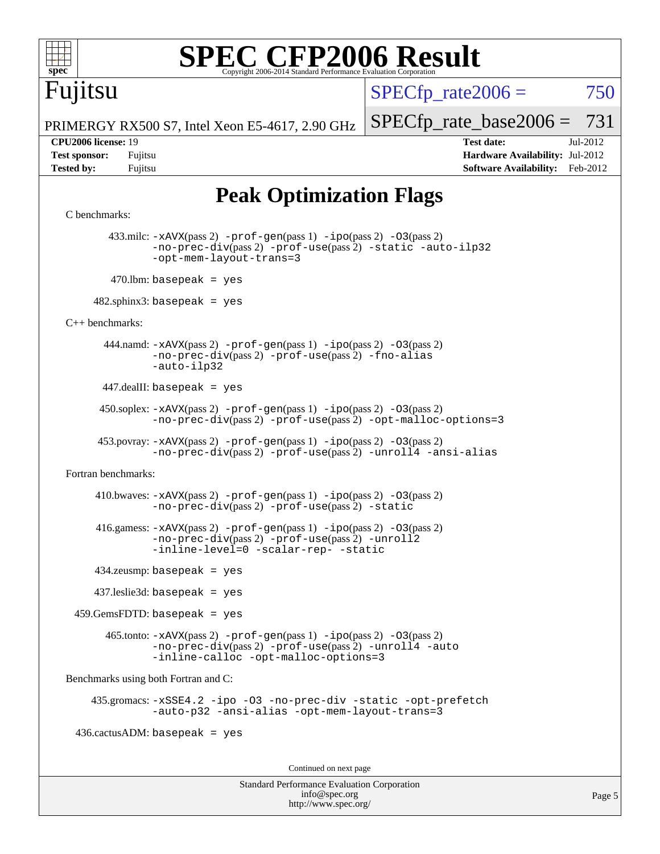

### Fujitsu

 $SPECTp\_rate2006 = 750$ 

PRIMERGY RX500 S7, Intel Xeon E5-4617, 2.90 GHz

**[Tested by:](http://www.spec.org/auto/cpu2006/Docs/result-fields.html#Testedby)** Fujitsu **[Software Availability:](http://www.spec.org/auto/cpu2006/Docs/result-fields.html#SoftwareAvailability)** Feb-2012

[SPECfp\\_rate\\_base2006 =](http://www.spec.org/auto/cpu2006/Docs/result-fields.html#SPECfpratebase2006) 731 **[CPU2006 license:](http://www.spec.org/auto/cpu2006/Docs/result-fields.html#CPU2006license)** 19 **[Test date:](http://www.spec.org/auto/cpu2006/Docs/result-fields.html#Testdate)** Jul-2012 **[Test sponsor:](http://www.spec.org/auto/cpu2006/Docs/result-fields.html#Testsponsor)** Fujitsu **[Hardware Availability:](http://www.spec.org/auto/cpu2006/Docs/result-fields.html#HardwareAvailability)** Jul-2012

### **[Peak Optimization Flags](http://www.spec.org/auto/cpu2006/Docs/result-fields.html#PeakOptimizationFlags)**

```
C benchmarks:
```
 433.milc: [-xAVX](http://www.spec.org/cpu2006/results/res2012q3/cpu2006-20120730-23883.flags.html#user_peakPASS2_CFLAGSPASS2_LDFLAGS433_milc_f-xAVX)(pass 2) [-prof-gen](http://www.spec.org/cpu2006/results/res2012q3/cpu2006-20120730-23883.flags.html#user_peakPASS1_CFLAGSPASS1_LDFLAGS433_milc_prof_gen_e43856698f6ca7b7e442dfd80e94a8fc)(pass 1) [-ipo](http://www.spec.org/cpu2006/results/res2012q3/cpu2006-20120730-23883.flags.html#user_peakPASS2_CFLAGSPASS2_LDFLAGS433_milc_f-ipo)(pass 2) [-O3](http://www.spec.org/cpu2006/results/res2012q3/cpu2006-20120730-23883.flags.html#user_peakPASS2_CFLAGSPASS2_LDFLAGS433_milc_f-O3)(pass 2) [-no-prec-div](http://www.spec.org/cpu2006/results/res2012q3/cpu2006-20120730-23883.flags.html#user_peakPASS2_CFLAGSPASS2_LDFLAGS433_milc_f-no-prec-div)(pass 2) [-prof-use](http://www.spec.org/cpu2006/results/res2012q3/cpu2006-20120730-23883.flags.html#user_peakPASS2_CFLAGSPASS2_LDFLAGS433_milc_prof_use_bccf7792157ff70d64e32fe3e1250b55)(pass 2) [-static](http://www.spec.org/cpu2006/results/res2012q3/cpu2006-20120730-23883.flags.html#user_peakOPTIMIZE433_milc_f-static) [-auto-ilp32](http://www.spec.org/cpu2006/results/res2012q3/cpu2006-20120730-23883.flags.html#user_peakCOPTIMIZE433_milc_f-auto-ilp32) [-opt-mem-layout-trans=3](http://www.spec.org/cpu2006/results/res2012q3/cpu2006-20120730-23883.flags.html#user_peakCOPTIMIZE433_milc_f-opt-mem-layout-trans_a7b82ad4bd7abf52556d4961a2ae94d5)  $470$ .lbm: basepeak = yes

 $482$ .sphinx3: basepeak = yes

[C++ benchmarks:](http://www.spec.org/auto/cpu2006/Docs/result-fields.html#CXXbenchmarks)

444.namd:  $-x$ AVX(pass 2)  $-p$ rof-gen(pass 1)  $-p$ po(pass 2)  $-03$ (pass 2) [-no-prec-div](http://www.spec.org/cpu2006/results/res2012q3/cpu2006-20120730-23883.flags.html#user_peakPASS2_CXXFLAGSPASS2_LDFLAGS444_namd_f-no-prec-div)(pass 2) [-prof-use](http://www.spec.org/cpu2006/results/res2012q3/cpu2006-20120730-23883.flags.html#user_peakPASS2_CXXFLAGSPASS2_LDFLAGS444_namd_prof_use_bccf7792157ff70d64e32fe3e1250b55)(pass 2) [-fno-alias](http://www.spec.org/cpu2006/results/res2012q3/cpu2006-20120730-23883.flags.html#user_peakCXXOPTIMIZE444_namd_f-no-alias_694e77f6c5a51e658e82ccff53a9e63a) [-auto-ilp32](http://www.spec.org/cpu2006/results/res2012q3/cpu2006-20120730-23883.flags.html#user_peakCXXOPTIMIZE444_namd_f-auto-ilp32)

 $447$ .dealII: basepeak = yes

 $450$ .soplex:  $-x$ AVX(pass 2)  $-p$ rof-gen(pass 1)  $-i$ po(pass 2)  $-03$ (pass 2) [-no-prec-div](http://www.spec.org/cpu2006/results/res2012q3/cpu2006-20120730-23883.flags.html#user_peakPASS2_CXXFLAGSPASS2_LDFLAGS450_soplex_f-no-prec-div)(pass 2) [-prof-use](http://www.spec.org/cpu2006/results/res2012q3/cpu2006-20120730-23883.flags.html#user_peakPASS2_CXXFLAGSPASS2_LDFLAGS450_soplex_prof_use_bccf7792157ff70d64e32fe3e1250b55)(pass 2) [-opt-malloc-options=3](http://www.spec.org/cpu2006/results/res2012q3/cpu2006-20120730-23883.flags.html#user_peakOPTIMIZE450_soplex_f-opt-malloc-options_13ab9b803cf986b4ee62f0a5998c2238)

453.povray:  $-xAVX(pass 2)$  $-xAVX(pass 2)$  [-prof-gen](http://www.spec.org/cpu2006/results/res2012q3/cpu2006-20120730-23883.flags.html#user_peakPASS1_CXXFLAGSPASS1_LDFLAGS453_povray_prof_gen_e43856698f6ca7b7e442dfd80e94a8fc)(pass 1) [-ipo](http://www.spec.org/cpu2006/results/res2012q3/cpu2006-20120730-23883.flags.html#user_peakPASS2_CXXFLAGSPASS2_LDFLAGS453_povray_f-ipo)(pass 2) -03(pass 2) [-no-prec-div](http://www.spec.org/cpu2006/results/res2012q3/cpu2006-20120730-23883.flags.html#user_peakPASS2_CXXFLAGSPASS2_LDFLAGS453_povray_f-no-prec-div)(pass 2) [-prof-use](http://www.spec.org/cpu2006/results/res2012q3/cpu2006-20120730-23883.flags.html#user_peakPASS2_CXXFLAGSPASS2_LDFLAGS453_povray_prof_use_bccf7792157ff70d64e32fe3e1250b55)(pass 2) [-unroll4](http://www.spec.org/cpu2006/results/res2012q3/cpu2006-20120730-23883.flags.html#user_peakCXXOPTIMIZE453_povray_f-unroll_4e5e4ed65b7fd20bdcd365bec371b81f) [-ansi-alias](http://www.spec.org/cpu2006/results/res2012q3/cpu2006-20120730-23883.flags.html#user_peakCXXOPTIMIZE453_povray_f-ansi-alias)

[Fortran benchmarks](http://www.spec.org/auto/cpu2006/Docs/result-fields.html#Fortranbenchmarks):

 410.bwaves: [-xAVX](http://www.spec.org/cpu2006/results/res2012q3/cpu2006-20120730-23883.flags.html#user_peakPASS2_FFLAGSPASS2_LDFLAGS410_bwaves_f-xAVX)(pass 2) [-prof-gen](http://www.spec.org/cpu2006/results/res2012q3/cpu2006-20120730-23883.flags.html#user_peakPASS1_FFLAGSPASS1_LDFLAGS410_bwaves_prof_gen_e43856698f6ca7b7e442dfd80e94a8fc)(pass 1) [-ipo](http://www.spec.org/cpu2006/results/res2012q3/cpu2006-20120730-23883.flags.html#user_peakPASS2_FFLAGSPASS2_LDFLAGS410_bwaves_f-ipo)(pass 2) [-O3](http://www.spec.org/cpu2006/results/res2012q3/cpu2006-20120730-23883.flags.html#user_peakPASS2_FFLAGSPASS2_LDFLAGS410_bwaves_f-O3)(pass 2) [-no-prec-div](http://www.spec.org/cpu2006/results/res2012q3/cpu2006-20120730-23883.flags.html#user_peakPASS2_FFLAGSPASS2_LDFLAGS410_bwaves_f-no-prec-div)(pass 2) [-prof-use](http://www.spec.org/cpu2006/results/res2012q3/cpu2006-20120730-23883.flags.html#user_peakPASS2_FFLAGSPASS2_LDFLAGS410_bwaves_prof_use_bccf7792157ff70d64e32fe3e1250b55)(pass 2) [-static](http://www.spec.org/cpu2006/results/res2012q3/cpu2006-20120730-23883.flags.html#user_peakOPTIMIZE410_bwaves_f-static)

 416.gamess: [-xAVX](http://www.spec.org/cpu2006/results/res2012q3/cpu2006-20120730-23883.flags.html#user_peakPASS2_FFLAGSPASS2_LDFLAGS416_gamess_f-xAVX)(pass 2) [-prof-gen](http://www.spec.org/cpu2006/results/res2012q3/cpu2006-20120730-23883.flags.html#user_peakPASS1_FFLAGSPASS1_LDFLAGS416_gamess_prof_gen_e43856698f6ca7b7e442dfd80e94a8fc)(pass 1) [-ipo](http://www.spec.org/cpu2006/results/res2012q3/cpu2006-20120730-23883.flags.html#user_peakPASS2_FFLAGSPASS2_LDFLAGS416_gamess_f-ipo)(pass 2) [-O3](http://www.spec.org/cpu2006/results/res2012q3/cpu2006-20120730-23883.flags.html#user_peakPASS2_FFLAGSPASS2_LDFLAGS416_gamess_f-O3)(pass 2) [-no-prec-div](http://www.spec.org/cpu2006/results/res2012q3/cpu2006-20120730-23883.flags.html#user_peakPASS2_FFLAGSPASS2_LDFLAGS416_gamess_f-no-prec-div)(pass 2) [-prof-use](http://www.spec.org/cpu2006/results/res2012q3/cpu2006-20120730-23883.flags.html#user_peakPASS2_FFLAGSPASS2_LDFLAGS416_gamess_prof_use_bccf7792157ff70d64e32fe3e1250b55)(pass 2) [-unroll2](http://www.spec.org/cpu2006/results/res2012q3/cpu2006-20120730-23883.flags.html#user_peakOPTIMIZE416_gamess_f-unroll_784dae83bebfb236979b41d2422d7ec2) [-inline-level=0](http://www.spec.org/cpu2006/results/res2012q3/cpu2006-20120730-23883.flags.html#user_peakOPTIMIZE416_gamess_f-inline-level_318d07a09274ad25e8d15dbfaa68ba50) [-scalar-rep-](http://www.spec.org/cpu2006/results/res2012q3/cpu2006-20120730-23883.flags.html#user_peakOPTIMIZE416_gamess_f-disablescalarrep_abbcad04450fb118e4809c81d83c8a1d) [-static](http://www.spec.org/cpu2006/results/res2012q3/cpu2006-20120730-23883.flags.html#user_peakOPTIMIZE416_gamess_f-static)

434.zeusmp: basepeak = yes

437.leslie3d: basepeak = yes

459.GemsFDTD: basepeak = yes

 $465$ .tonto:  $-x$ AVX(pass 2)  $-p$ rof-gen(pass 1)  $-p$ ipo(pass 2)  $-03$ (pass 2) [-no-prec-div](http://www.spec.org/cpu2006/results/res2012q3/cpu2006-20120730-23883.flags.html#user_peakPASS2_FFLAGSPASS2_LDFLAGS465_tonto_f-no-prec-div)(pass 2) [-prof-use](http://www.spec.org/cpu2006/results/res2012q3/cpu2006-20120730-23883.flags.html#user_peakPASS2_FFLAGSPASS2_LDFLAGS465_tonto_prof_use_bccf7792157ff70d64e32fe3e1250b55)(pass 2) [-unroll4](http://www.spec.org/cpu2006/results/res2012q3/cpu2006-20120730-23883.flags.html#user_peakOPTIMIZE465_tonto_f-unroll_4e5e4ed65b7fd20bdcd365bec371b81f) [-auto](http://www.spec.org/cpu2006/results/res2012q3/cpu2006-20120730-23883.flags.html#user_peakOPTIMIZE465_tonto_f-auto) [-inline-calloc](http://www.spec.org/cpu2006/results/res2012q3/cpu2006-20120730-23883.flags.html#user_peakOPTIMIZE465_tonto_f-inline-calloc) [-opt-malloc-options=3](http://www.spec.org/cpu2006/results/res2012q3/cpu2006-20120730-23883.flags.html#user_peakOPTIMIZE465_tonto_f-opt-malloc-options_13ab9b803cf986b4ee62f0a5998c2238)

[Benchmarks using both Fortran and C](http://www.spec.org/auto/cpu2006/Docs/result-fields.html#BenchmarksusingbothFortranandC):

 435.gromacs: [-xSSE4.2](http://www.spec.org/cpu2006/results/res2012q3/cpu2006-20120730-23883.flags.html#user_peakOPTIMIZE435_gromacs_f-xSSE42_f91528193cf0b216347adb8b939d4107) [-ipo](http://www.spec.org/cpu2006/results/res2012q3/cpu2006-20120730-23883.flags.html#user_peakOPTIMIZE435_gromacs_f-ipo) [-O3](http://www.spec.org/cpu2006/results/res2012q3/cpu2006-20120730-23883.flags.html#user_peakOPTIMIZE435_gromacs_f-O3) [-no-prec-div](http://www.spec.org/cpu2006/results/res2012q3/cpu2006-20120730-23883.flags.html#user_peakOPTIMIZE435_gromacs_f-no-prec-div) [-static](http://www.spec.org/cpu2006/results/res2012q3/cpu2006-20120730-23883.flags.html#user_peakOPTIMIZE435_gromacs_f-static) [-opt-prefetch](http://www.spec.org/cpu2006/results/res2012q3/cpu2006-20120730-23883.flags.html#user_peakOPTIMIZE435_gromacs_f-opt-prefetch) [-auto-p32](http://www.spec.org/cpu2006/results/res2012q3/cpu2006-20120730-23883.flags.html#user_peakCOPTIMIZE435_gromacs_f-auto-p32) [-ansi-alias](http://www.spec.org/cpu2006/results/res2012q3/cpu2006-20120730-23883.flags.html#user_peakCOPTIMIZE435_gromacs_f-ansi-alias) [-opt-mem-layout-trans=3](http://www.spec.org/cpu2006/results/res2012q3/cpu2006-20120730-23883.flags.html#user_peakCOPTIMIZE435_gromacs_f-opt-mem-layout-trans_a7b82ad4bd7abf52556d4961a2ae94d5)

 $436.cactusADM:basepeak = yes$ 

Continued on next page